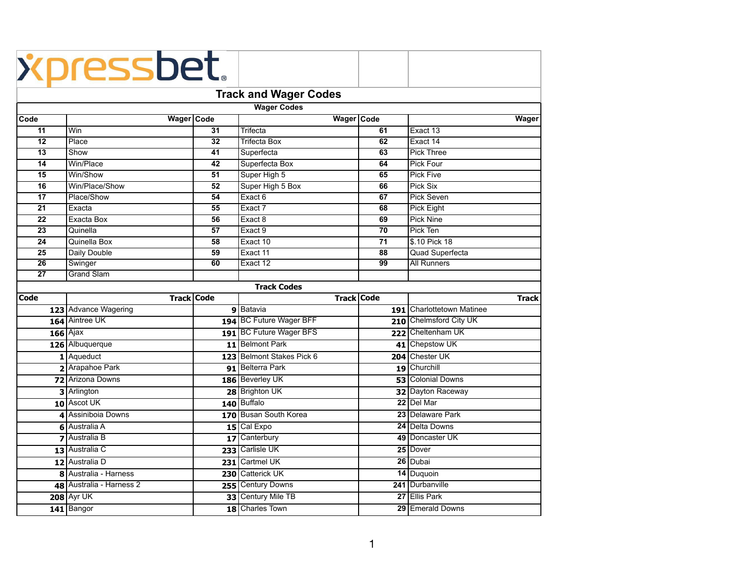|                              | <i><b>Xpressbet.</b></i> |                 |                           |                   |                           |  |  |  |  |  |  |
|------------------------------|--------------------------|-----------------|---------------------------|-------------------|---------------------------|--|--|--|--|--|--|
|                              |                          |                 |                           |                   |                           |  |  |  |  |  |  |
| <b>Track and Wager Codes</b> |                          |                 |                           |                   |                           |  |  |  |  |  |  |
| <b>Wager Codes</b>           |                          |                 |                           |                   |                           |  |  |  |  |  |  |
| Code                         | Wager Code               |                 | Wager Code                |                   | <b>Wager</b>              |  |  |  |  |  |  |
| $\overline{11}$              | Win                      | 31              | <b>Trifecta</b>           | 61                | Exact 13                  |  |  |  |  |  |  |
| $\overline{12}$              | Place                    | $\overline{32}$ | <b>Trifecta Box</b>       | 62                | Exact 14                  |  |  |  |  |  |  |
| $\overline{13}$              | Show                     | 41              | Superfecta                | 63                | <b>Pick Three</b>         |  |  |  |  |  |  |
| 14                           | Win/Place                | 42              | Superfecta Box            | 64                | <b>Pick Four</b>          |  |  |  |  |  |  |
| 15                           | Win/Show                 | 51              | Super High 5              | 65                | Pick Five                 |  |  |  |  |  |  |
| 16                           | Win/Place/Show           | 52              | Super High 5 Box          | 66                | Pick Six                  |  |  |  |  |  |  |
| 17                           | Place/Show               | 54              | Exact 6                   | 67                | Pick Seven                |  |  |  |  |  |  |
| 21                           | Exacta                   | 55              | Exact 7                   | 68                | <b>Pick Eight</b>         |  |  |  |  |  |  |
| 22                           | Exacta Box               | 56              | Exact 8                   | 69                | <b>Pick Nine</b>          |  |  |  |  |  |  |
| 23                           | Quinella                 | 57              | Exact 9                   | 70                | Pick Ten                  |  |  |  |  |  |  |
| 24                           | Quinella Box             | 58              | Exact 10                  | 71                | \$.10 Pick 18             |  |  |  |  |  |  |
| 25                           | Daily Double             | 59              | Exact 11                  | 88                | <b>Quad Superfecta</b>    |  |  |  |  |  |  |
| 26                           | Swinger                  | 60              | Exact 12                  | 99                | <b>All Runners</b>        |  |  |  |  |  |  |
| $\overline{27}$              | <b>Grand Slam</b>        |                 |                           |                   |                           |  |  |  |  |  |  |
|                              |                          |                 | <b>Track Codes</b>        |                   |                           |  |  |  |  |  |  |
| Code                         | <b>Track Code</b>        |                 |                           | <b>Track Code</b> | <b>Track</b>              |  |  |  |  |  |  |
|                              | 123 Advance Wagering     |                 | 9 Batavia                 |                   | 191 Charlottetown Matinee |  |  |  |  |  |  |
|                              | 164 Aintree UK           |                 | 194 BC Future Wager BFF   |                   | 210 Chelmsford City UK    |  |  |  |  |  |  |
|                              | $166$ Ajax               |                 | 191 BC Future Wager BFS   |                   | 222 Cheltenham UK         |  |  |  |  |  |  |
|                              | 126 Albuquerque          |                 | 11 Belmont Park           |                   | 41 Chepstow UK            |  |  |  |  |  |  |
|                              | 1 Aqueduct               |                 | 123 Belmont Stakes Pick 6 |                   | 204 Chester UK            |  |  |  |  |  |  |
|                              | 2 Arapahoe Park          |                 | 91 Belterra Park          |                   | 19 Churchill              |  |  |  |  |  |  |
|                              | 72 Arizona Downs         |                 | 186 Beverley UK           |                   | 53 Colonial Downs         |  |  |  |  |  |  |
|                              | 3 Arlington              |                 | 28 Brighton UK            |                   | 32 Dayton Raceway         |  |  |  |  |  |  |
|                              | 10 Ascot UK              |                 | 140 Buffalo               |                   | 22 Del Mar                |  |  |  |  |  |  |
|                              | 4 Assiniboia Downs       |                 | 170 Busan South Korea     |                   | 23 Delaware Park          |  |  |  |  |  |  |
|                              | 6 Australia A            |                 | 15 Cal Expo               |                   | 24 Delta Downs            |  |  |  |  |  |  |
|                              | 7 Australia B            |                 | 17 Canterbury             |                   | 49 Doncaster UK           |  |  |  |  |  |  |
|                              | 13 Australia C           |                 | 233 Carlisle UK           |                   | 25 Dover                  |  |  |  |  |  |  |
|                              | 12 Australia D           |                 | 231 Cartmel UK            |                   | 26 Dubai                  |  |  |  |  |  |  |
|                              | 8 Australia - Harness    |                 | 230 Catterick UK          |                   | 14 Duquoin                |  |  |  |  |  |  |
|                              | 48 Australia - Harness 2 |                 | 255 Century Downs         |                   | 241 Durbanville           |  |  |  |  |  |  |
|                              | <b>208 Ayr UK</b>        |                 | 33 Century Mile TB        |                   | 27 Ellis Park             |  |  |  |  |  |  |
|                              |                          |                 | 18 Charles Town           |                   |                           |  |  |  |  |  |  |
|                              | 141 Bangor               |                 |                           |                   | 29 Emerald Downs          |  |  |  |  |  |  |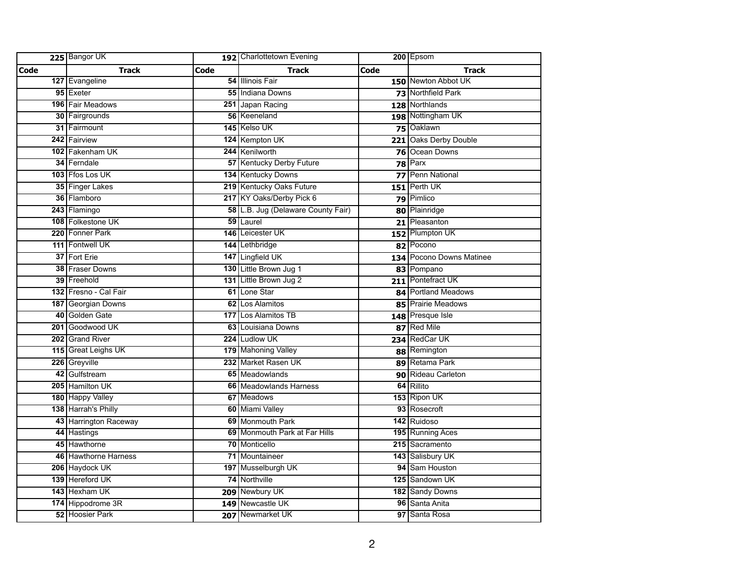|             | 225 Bangor UK         |      | 192 Charlottetown Evening          |      | 200 Epsom                |
|-------------|-----------------------|------|------------------------------------|------|--------------------------|
| <b>Code</b> | <b>Track</b>          | Code | <b>Track</b>                       | Code | <b>Track</b>             |
|             | 127 Evangeline        |      | 54 Illinois Fair                   |      | 150 Newton Abbot UK      |
|             | 95 Exeter             |      | 55 Indiana Downs                   |      | 73 Northfield Park       |
|             | 196 Fair Meadows      |      | 251 Japan Racing                   |      | 128 Northlands           |
|             | 30 Fairgrounds        |      | 56 Keeneland                       |      | 198 Nottingham UK        |
|             | 31 Fairmount          |      | 145 Kelso UK                       |      | 75 Oaklawn               |
|             | 242 Fairview          |      | 124 Kempton UK                     |      | 221 Oaks Derby Double    |
|             | 102 Fakenham UK       |      | 244 Kenilworth                     |      | 76 Ocean Downs           |
|             | 34 Ferndale           |      | <b>57 Kentucky Derby Future</b>    |      | $78$ Parx                |
|             | 103 Ffos Los UK       |      | 134 Kentucky Downs                 |      | 77 Penn National         |
|             | 35 Finger Lakes       |      | 219 Kentucky Oaks Future           |      | 151 Perth UK             |
|             | 36 Flamboro           |      | 217 KY Oaks/Derby Pick 6           |      | 79 Pimlico               |
|             | 243 Flamingo          |      | 58 L.B. Jug (Delaware County Fair) |      | 80 Plainridge            |
|             | 108 Folkestone UK     |      | 59 Laurel                          |      | 21 Pleasanton            |
|             | 220 Fonner Park       |      | 146 Leicester UK                   |      | 152 Plumpton UK          |
|             | 111 Fontwell UK       |      | 144 Lethbridge                     |      | 82 Pocono                |
|             | 37 Fort Erie          |      | 147 Lingfield UK                   |      | 134 Pocono Downs Matinee |
|             | 38 Fraser Downs       |      | 130 Little Brown Jug 1             |      | 83 Pompano               |
|             | 39 Freehold           |      | 131 Little Brown Jug 2             |      | 211 Pontefract UK        |
|             | 132 Fresno - Cal Fair |      | 61 Lone Star                       |      | 84 Portland Meadows      |
|             | 187 Georgian Downs    |      | 62 Los Alamitos                    |      | 85   Prairie Meadows     |
|             | 40 Golden Gate        |      | 177 Los Alamitos TB                |      | 148 Presque Isle         |
|             | 201 Goodwood UK       |      | 63 Louisiana Downs                 |      | 87 Red Mile              |
|             | 202 Grand River       |      | 224 Ludlow UK                      |      | 234 RedCar UK            |
|             | 115 Great Leighs UK   |      | 179 Mahoning Valley                |      | 88 Remington             |
|             | 226 Greyville         |      | 232 Market Rasen UK                |      | 89 Retama Park           |
|             | 42 Gulfstream         |      | 65 Meadowlands                     |      | 90 Rideau Carleton       |
|             | 205 Hamilton UK       |      | 66 Meadowlands Harness             |      | 64 Rillito               |
|             | 180 Happy Valley      |      | 67 Meadows                         |      | 153 Ripon UK             |
|             | 138 Harrah's Philly   |      | 60 Miami Valley                    |      | 93 Rosecroft             |
|             | 43 Harrington Raceway |      | 69 Monmouth Park                   |      | 142 Ruidoso              |
|             | 44 Hastings           |      | 69 Monmouth Park at Far Hills      |      | 195 Running Aces         |
|             | 45 Hawthorne          |      | 70 Monticello                      |      | 215 Sacramento           |
|             | 46 Hawthorne Harness  |      | 71 Mountaineer                     |      | 143 Salisbury UK         |
|             | 206 Haydock UK        |      | 197 Musselburgh UK                 |      | 94 Sam Houston           |
|             | 139 Hereford UK       |      | 74 Northville                      |      | 125 Sandown UK           |
|             | 143 Hexham UK         |      | 209 Newbury UK                     |      | 182 Sandy Downs          |
|             | 174 Hippodrome 3R     |      | 149 Newcastle UK                   |      | 96 Santa Anita           |
|             | 52 Hoosier Park       |      | 207 Newmarket UK                   |      | 97 Santa Rosa            |